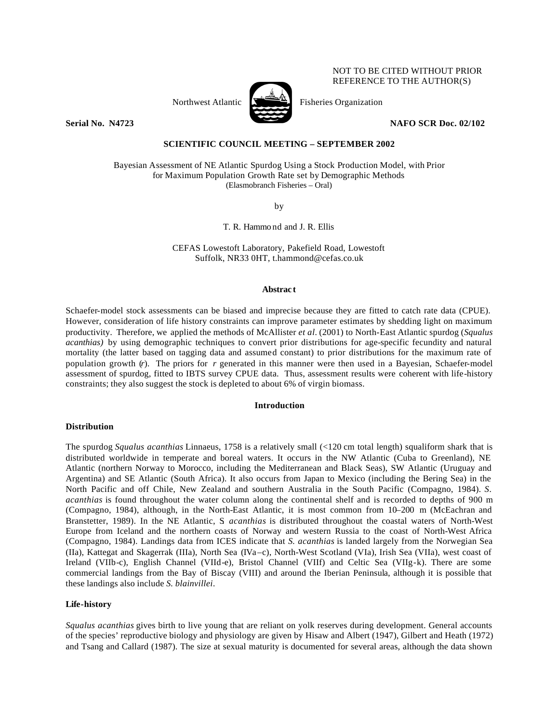Northwest Atlantic  $\sum_{n=1}^{\infty}$  Fisheries Organization



NOT TO BE CITED WITHOUT PRIOR REFERENCE TO THE AUTHOR(S)

**Serial No. N4723** NAFO SCR Doc. 02/102

## **SCIENTIFIC COUNCIL MEETING – SEPTEMBER 2002**

Bayesian Assessment of NE Atlantic Spurdog Using a Stock Production Model, with Prior for Maximum Population Growth Rate set by Demographic Methods (Elasmobranch Fisheries – Oral)

by

T. R. Hammo nd and J. R. Ellis

CEFAS Lowestoft Laboratory, Pakefield Road, Lowestoft Suffolk, NR33 0HT, t.hammond@cefas.co.uk

#### **Abstrac t**

Schaefer-model stock assessments can be biased and imprecise because they are fitted to catch rate data (CPUE). However, consideration of life history constraints can improve parameter estimates by shedding light on maximum productivity. Therefore, we applied the methods of McAllister *et al.* (2001) to North-East Atlantic spurdog (*Squalus acanthias)* by using demographic techniques to convert prior distributions for age-specific fecundity and natural mortality (the latter based on tagging data and assumed constant) to prior distributions for the maximum rate of population growth (*r*). The priors for *r* generated in this manner were then used in a Bayesian, Schaefer-model assessment of spurdog, fitted to IBTS survey CPUE data. Thus, assessment results were coherent with life-history constraints; they also suggest the stock is depleted to about 6% of virgin biomass.

#### **Introduction**

## **Distribution**

The spurdog *Squalus acanthias* Linnaeus, 1758 is a relatively small (<120 cm total length) squaliform shark that is distributed worldwide in temperate and boreal waters. It occurs in the NW Atlantic (Cuba to Greenland), NE Atlantic (northern Norway to Morocco, including the Mediterranean and Black Seas), SW Atlantic (Uruguay and Argentina) and SE Atlantic (South Africa). It also occurs from Japan to Mexico (including the Bering Sea) in the North Pacific and off Chile, New Zealand and southern Australia in the South Pacific (Compagno, 1984). *S. acanthias* is found throughout the water column along the continental shelf and is recorded to depths of 900 m (Compagno, 1984), although, in the North-East Atlantic, it is most common from 10–200 m (McEachran and Branstetter, 1989). In the NE Atlantic, S*. acanthias* is distributed throughout the coastal waters of North-West Europe from Iceland and the northern coasts of Norway and western Russia to the coast of North-West Africa (Compagno, 1984). Landings data from ICES indicate that *S. acanthias* is landed largely from the Norwegian Sea (IIa), Kattegat and Skagerrak (IIIa), North Sea (IVa–c), North-West Scotland (VIa), Irish Sea (VIIa), west coast of Ireland (VIIb-c), English Channel (VIId-e), Bristol Channel (VIIf) and Celtic Sea (VIIg-k). There are some commercial landings from the Bay of Biscay (VIII) and around the Iberian Peninsula, although it is possible that these landings also include *S. blainvillei*.

## **Life-history**

*Squalus acanthias* gives birth to live young that are reliant on yolk reserves during development. General accounts of the species' reproductive biology and physiology are given by Hisaw and Albert (1947), Gilbert and Heath (1972) and Tsang and Callard (1987). The size at sexual maturity is documented for several areas, although the data shown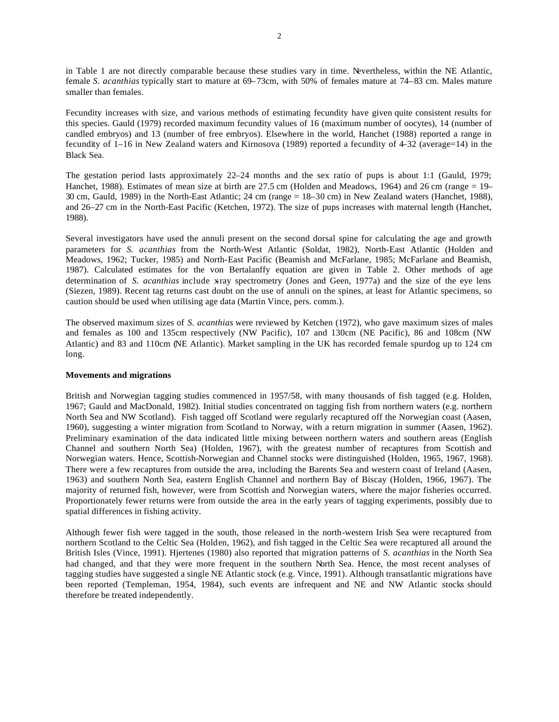in Table 1 are not directly comparable because these studies vary in time. Nevertheless, within the NE Atlantic, female *S. acanthias* typically start to mature at 69–73cm, with 50% of females mature at 74–83 cm. Males mature smaller than females.

Fecundity increases with size, and various methods of estimating fecundity have given quite consistent results for this species. Gauld (1979) recorded maximum fecundity values of 16 (maximum number of oocytes), 14 (number of candled embryos) and 13 (number of free embryos). Elsewhere in the world, Hanchet (1988) reported a range in fecundity of 1–16 in New Zealand waters and Kirnosova (1989) reported a fecundity of 4–32 (average=14) in the Black Sea.

The gestation period lasts approximately 22–24 months and the sex ratio of pups is about 1:1 (Gauld, 1979; Hanchet, 1988). Estimates of mean size at birth are 27.5 cm (Holden and Meadows, 1964) and 26 cm (range = 19– 30 cm, Gauld, 1989) in the North-East Atlantic; 24 cm (range = 18–30 cm) in New Zealand waters (Hanchet, 1988), and 26–27 cm in the North-East Pacific (Ketchen, 1972). The size of pups increases with maternal length (Hanchet, 1988).

Several investigators have used the annuli present on the second dorsal spine for calculating the age and growth parameters for *S. acanthias* from the North-West Atlantic (Soldat, 1982), North-East Atlantic (Holden and Meadows, 1962; Tucker, 1985) and North-East Pacific (Beamish and McFarlane, 1985; McFarlane and Beamish, 1987). Calculated estimates for the von Bertalanffy equation are given in Table 2. Other methods of age determination of *S. acanthias* include x-ray spectrometry (Jones and Geen, 1977a) and the size of the eye lens (Siezen, 1989). Recent tag returns cast doubt on the use of annuli on the spines, at least for Atlantic specimens, so caution should be used when utilising age data (Martin Vince, pers. comm.).

The observed maximum sizes of *S. acanthias* were reviewed by Ketchen (1972), who gave maximum sizes of males and females as 100 and 135cm respectively (NW Pacific), 107 and 130cm (NE Pacific), 86 and 108cm (NW Atlantic) and 83 and 110cm (NE Atlantic). Market sampling in the UK has recorded female spurdog up to 124 cm long.

## **Movements and migrations**

British and Norwegian tagging studies commenced in 1957/58, with many thousands of fish tagged (e.g. Holden, 1967; Gauld and MacDonald, 1982). Initial studies concentrated on tagging fish from northern waters (e.g. northern North Sea and NW Scotland). Fish tagged off Scotland were regularly recaptured off the Norwegian coast (Aasen, 1960), suggesting a winter migration from Scotland to Norway, with a return migration in summer (Aasen, 1962). Preliminary examination of the data indicated little mixing between northern waters and southern areas (English Channel and southern North Sea) (Holden, 1967), with the greatest number of recaptures from Scottish and Norwegian waters. Hence, Scottish-Norwegian and Channel stocks were distinguished (Holden, 1965, 1967, 1968). There were a few recaptures from outside the area, including the Barents Sea and western coast of Ireland (Aasen, 1963) and southern North Sea, eastern English Channel and northern Bay of Biscay (Holden, 1966, 1967). The majority of returned fish, however, were from Scottish and Norwegian waters, where the major fisheries occurred. Proportionately fewer returns were from outside the area in the early years of tagging experiments, possibly due to spatial differences in fishing activity.

Although fewer fish were tagged in the south, those released in the north-western Irish Sea were recaptured from northern Scotland to the Celtic Sea (Holden, 1962), and fish tagged in the Celtic Sea were recaptured all around the British Isles (Vince, 1991). Hjertenes (1980) also reported that migration patterns of *S. acanthias* in the North Sea had changed, and that they were more frequent in the southern North Sea. Hence, the most recent analyses of tagging studies have suggested a single NE Atlantic stock (e.g. Vince, 1991). Although transatlantic migrations have been reported (Templeman, 1954, 1984), such events are infrequent and NE and NW Atlantic stocks should therefore be treated independently.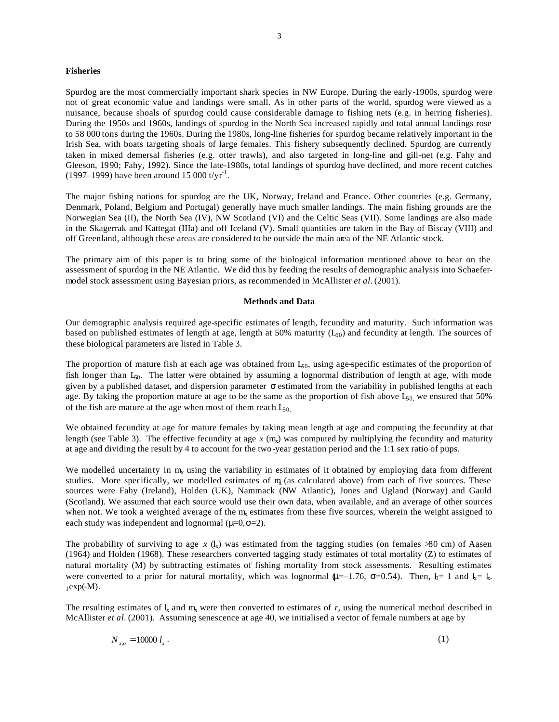#### **Fisheries**

Spurdog are the most commercially important shark species in NW Europe. During the early-1900s, spurdog were not of great economic value and landings were small. As in other parts of the world, spurdog were viewed as a nuisance, because shoals of spurdog could cause considerable damage to fishing nets (e.g. in herring fisheries). During the 1950s and 1960s, landings of spurdog in the North Sea increased rapidly and total annual landings rose to 58 000 tons during the 1960s. During the 1980s, long-line fisheries for spurdog became relatively important in the Irish Sea, with boats targeting shoals of large females. This fishery subsequently declined. Spurdog are currently taken in mixed demersal fisheries (e.g. otter trawls), and also targeted in long-line and gill-net (e.g. Fahy and Gleeson, 1990; Fahy, 1992). Since the late-1980s, total landings of spurdog have declined, and more recent catches (1997–1999) have been around 15 000 t/yr<sup>-1</sup>.

The major fishing nations for spurdog are the UK, Norway, Ireland and France. Other countries (e.g. Germany, Denmark, Poland, Belgium and Portugal) generally have much smaller landings. The main fishing grounds are the Norwegian Sea (II), the North Sea (IV), NW Scotland (VI) and the Celtic Seas (VII). Some landings are also made in the Skagerrak and Kattegat (IIIa) and off Iceland (V). Small quantities are taken in the Bay of Biscay (VIII) and off Greenland, although these areas are considered to be outside the main area of the NE Atlantic stock.

The primary aim of this paper is to bring some of the biological information mentioned above to bear on the assessment of spurdog in the NE Atlantic. We did this by feeding the results of demographic analysis into Schaefermodel stock assessment using Bayesian priors, as recommended in McAllister *et al.* (2001).

## **Methods and Data**

Our demographic analysis required age-specific estimates of length, fecundity and maturity. Such information was based on published estimates of length at age, length at 50% maturity  $(L_{50})$  and fecundity at length. The sources of these biological parameters are listed in Table 3.

The proportion of mature fish at each age was obtained from  $I_{50}$ , using age-specific estimates of the proportion of fish longer than  $L_{50}$ . The latter were obtained by assuming a lognormal distribution of length at age, with mode given by a published dataset, and dispersion parameter  $\sigma$  estimated from the variability in published lengths at each age. By taking the proportion mature at age to be the same as the proportion of fish above  $L_{50}$ , we ensured that 50% of the fish are mature at the age when most of them reach  $L_{50}$ .

We obtained fecundity at age for mature females by taking mean length at age and computing the fecundity at that length (see Table 3). The effective fecundity at age  $x$  (m<sub>x</sub>) was computed by multiplying the fecundity and maturity at age and dividing the result by 4 to account for the two-year gestation period and the 1:1 sex ratio of pups.

We modelled uncertainty in  $m<sub>x</sub>$  using the variability in estimates of it obtained by employing data from different studies. More specifically, we modelled estimates of  $m<sub>k</sub>$  (as calculated above) from each of five sources. These sources were Fahy (Ireland), Holden (UK), Nammack (NW Atlantic), Jones and Ugland (Norway) and Gauld (Scotland). We assumed that each source would use their own data, when available, and an average of other sources when not. We took a weighted average of the  $m<sub>x</sub>$  estimates from these five sources, wherein the weight assigned to each study was independent and lognormal ( $\mu$ =0, $\sigma$ =2).

The probability of surviving to age  $x$  (l<sub>x</sub>) was estimated from the tagging studies (on females  $>80$  cm) of Aasen (1964) and Holden (1968). These researchers converted tagging study estimates of total mortality (Z) to estimates of natural mortality (M) by subtracting estimates of fishing mortality from stock assessments. Resulting estimates were converted to a prior for natural mortality, which was lognormal  $(μ=-1.76, σ=0.54)$ . Then,  $h=1$  and  $k=1$ .  $1exp(-M)$ .

The resulting estimates of  $l_x$  and  $m_x$  were then converted to estimates of  $r$ , using the numerical method described in McAllister *et al.* (2001). Assuming senescence at age 40, we initialised a vector of female numbers at age by

$$
N_{x,o} = 10000 l_x \,. \tag{1}
$$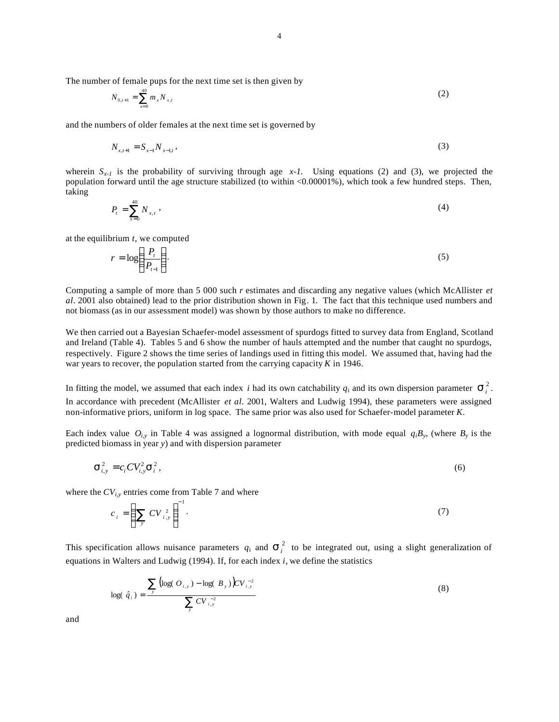The number of female pups for the next time set is then given by

$$
N_{0,t+1} = \sum_{x=0}^{40} m_x N_{x,t} \tag{2}
$$

and the numbers of older females at the next time set is governed by

$$
N_{x,t+1} = S_{x-1} N_{x-1,t},\tag{3}
$$

wherein  $S_{x-1}$  is the probability of surviving through age *x*-1. Using equations (2) and (3), we projected the population forward until the age structure stabilized (to within <0.00001%), which took a few hundred steps. Then, taking

$$
P_t = \sum_{x=0}^{40} N_{x,t} \tag{4}
$$

at the equilibrium *t*, we computed

$$
r = \log\left(\frac{P_t}{P_{t-1}}\right). \tag{5}
$$

Computing a sample of more than 5 000 such *r* estimates and discarding any negative values (which McAllister *et al.* 2001 also obtained) lead to the prior distribution shown in Fig. 1. The fact that this technique used numbers and not biomass (as in our assessment model) was shown by those authors to make no difference.

We then carried out a Bayesian Schaefer-model assessment of spurdogs fitted to survey data from England, Scotland and Ireland (Table 4). Tables 5 and 6 show the number of hauls attempted and the number that caught no spurdogs, respectively. Figure 2 shows the time series of landings used in fitting this model. We assumed that, having had the war years to recover, the population started from the carrying capacity *K* in 1946.

In fitting the model, we assumed that each index *i* had its own catchability  $q_i$  and its own dispersion parameter  $S_i^2$ . In accordance with precedent (McAllister *et al.* 2001, Walters and Ludwig 1994), these parameters were assigned non-informative priors, uniform in log space. The same prior was also used for Schaefer-model parameter *K.* 

Each index value  $O_{i,y}$  in Table 4 was assigned a lognormal distribution, with mode equal  $q_iB_y$ , (where  $B_y$  is the predicted biomass in year *y*) and with dispersion parameter

$$
\boldsymbol{S}_{i,y}^2 = c_i C V_{i,y}^2 \boldsymbol{S}_i^2,\tag{6}
$$

where the  $CV_{i,v}$  entries come from Table 7 and where

$$
c_i = \left(\sum_{y} CV_{i,y}^2\right)^{-1}.\tag{7}
$$

This specification allows nuisance parameters  $q_i$  and  $S_i^2$  to be integrated out, using a slight generalization of equations in Walters and Ludwig (1994). If, for each index *i,* we define the statistics

$$
\log(\hat{q}_i) = \frac{\sum_{y} \left( \log(\hat{O}_{i,y}) - \log(\hat{B}_y) \right) C V_{i,y}^{-2}}{\sum_{y} C V_{i,y}^{-2}}
$$
(8)

and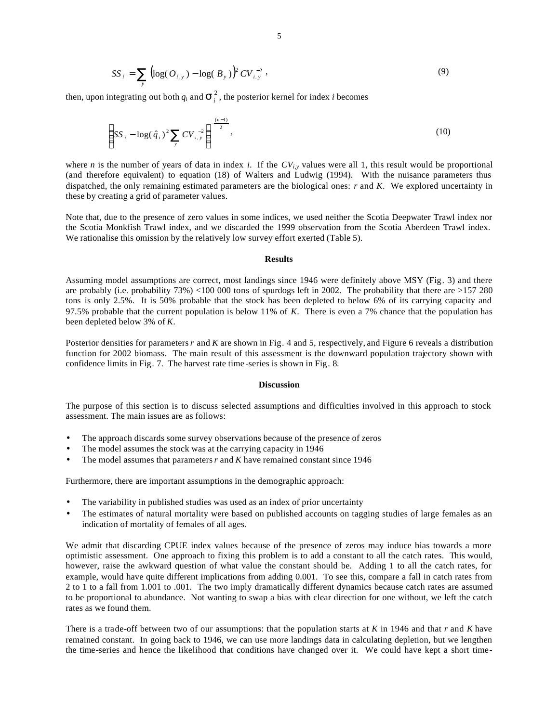$$
SS_i = \sum_{y} \left( \log(O_{i,y}) - \log(B_y) \right)^2 C V_{i,y}^{-2}, \tag{9}
$$

then, upon integrating out both  $q_i$  and  $\boldsymbol{S}_i^2$ , the posterior kernel for index *i* becomes

$$
\left( SS_i - \log(\hat{q}_i)^2 \sum_{y} CV_{i, y}^{-2} \right)^{-\frac{(n-1)}{2}}, \tag{10}
$$

where *n* is the number of years of data in index *i*. If the  $CV_{i,y}$  values were all 1, this result would be proportional (and therefore equivalent) to equation (18) of Walters and Ludwig (1994). With the nuisance parameters thus dispatched, the only remaining estimated parameters are the biological ones: *r* and *K*. We explored uncertainty in these by creating a grid of parameter values.

Note that, due to the presence of zero values in some indices, we used neither the Scotia Deepwater Trawl index nor the Scotia Monkfish Trawl index, and we discarded the 1999 observation from the Scotia Aberdeen Trawl index. We rationalise this omission by the relatively low survey effort exerted (Table 5).

#### **Results**

Assuming model assumptions are correct, most landings since 1946 were definitely above MSY (Fig. 3) and there are probably (i.e. probability  $73\%$ ) <100 000 tons of spurdogs left in 2002. The probability that there are >157 280 tons is only 2.5%. It is 50% probable that the stock has been depleted to below 6% of its carrying capacity and 97.5% probable that the current population is below 11% of *K*. There is even a 7% chance that the population has been depleted below 3% of *K*.

Posterior densities for parameters *r* and *K* are shown in Fig. 4 and 5, respectively, and Figure 6 reveals a distribution function for 2002 biomass. The main result of this assessment is the downward population trajectory shown with confidence limits in Fig. 7. The harvest rate time -series is shown in Fig. 8.

#### **Discussion**

The purpose of this section is to discuss selected assumptions and difficulties involved in this approach to stock assessment. The main issues are as follows:

- The approach discards some survey observations because of the presence of zeros
- The model assumes the stock was at the carrying capacity in 1946
- The model assumes that parameters  $r$  and  $K$  have remained constant since 1946

Furthermore, there are important assumptions in the demographic approach:

- The variability in published studies was used as an index of prior uncertainty
- The estimates of natural mortality were based on published accounts on tagging studies of large females as an indication of mortality of females of all ages.

We admit that discarding CPUE index values because of the presence of zeros may induce bias towards a more optimistic assessment. One approach to fixing this problem is to add a constant to all the catch rates. This would, however, raise the awkward question of what value the constant should be. Adding 1 to all the catch rates, for example, would have quite different implications from adding 0.001. To see this, compare a fall in catch rates from 2 to 1 to a fall from 1.001 to .001. The two imply dramatically different dynamics because catch rates are assumed to be proportional to abundance. Not wanting to swap a bias with clear direction for one without, we left the catch rates as we found them.

There is a trade-off between two of our assumptions: that the population starts at *K* in 1946 and that *r* and *K* have remained constant. In going back to 1946, we can use more landings data in calculating depletion, but we lengthen the time-series and hence the likelihood that conditions have changed over it. We could have kept a short time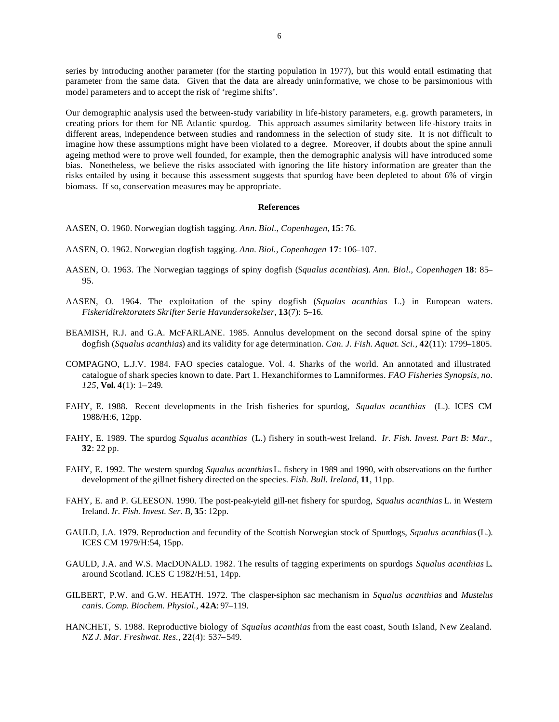series by introducing another parameter (for the starting population in 1977), but this would entail estimating that parameter from the same data. Given that the data are already uninformative, we chose to be parsimonious with model parameters and to accept the risk of 'regime shifts'.

Our demographic analysis used the between-study variability in life-history parameters, e.g. growth parameters, in creating priors for them for NE Atlantic spurdog. This approach assumes similarity between life -history traits in different areas, independence between studies and randomness in the selection of study site. It is not difficult to imagine how these assumptions might have been violated to a degree. Moreover, if doubts about the spine annuli ageing method were to prove well founded, for example, then the demographic analysis will have introduced some bias. Nonetheless, we believe the risks associated with ignoring the life history information are greater than the risks entailed by using it because this assessment suggests that spurdog have been depleted to about 6% of virgin biomass. If so, conservation measures may be appropriate.

#### **References**

- AASEN, O. 1960. Norwegian dogfish tagging. *Ann. Biol., Copenhagen,* **15**: 76.
- AASEN, O. 1962. Norwegian dogfish tagging. *Ann. Biol., Copenhagen* **17**: 106–107.
- AASEN, O. 1963. The Norwegian taggings of spiny dogfish (*Squalus acanthias*). *Ann. Biol., Copenhagen* **18**: 85*–* 95.
- AASEN, O. 1964. The exploitation of the spiny dogfish (*Squalus acanthias* L.) in European waters. *Fiskeridirektoratets Skrifter Serie Havundersokelser*, **13**(7): 5–16.
- BEAMISH, R.J. and G.A. McFARLANE. 1985. Annulus development on the second dorsal spine of the spiny dogfish (*Squalus acanthias*) and its validity for age determination. *Can. J. Fish. Aquat. Sci.,* **42**(11): 1799*–*1805.
- COMPAGNO, L.J.V. 1984. FAO species catalogue. Vol. 4. Sharks of the world. An annotated and illustrated catalogue of shark species known to date. Part 1. Hexanchiformes to Lamniformes. *FAO Fisheries Synopsis, no. 125*, **Vol. 4**(1): 1–249.
- FAHY, E. 1988. Recent developments in the Irish fisheries for spurdog, *Squalus acanthias* (L.). ICES CM 1988/H:6, 12pp.
- FAHY, E. 1989. The spurdog *Squalus acanthias* (L.) fishery in south-west Ireland. *Ir. Fish. Invest. Part B: Mar.,* **32**: 22 pp.
- FAHY, E. 1992. The western spurdog *Squalus acanthias* L. fishery in 1989 and 1990, with observations on the further development of the gillnet fishery directed on the species. *Fish. Bull. Ireland*, **11**, 11pp.
- FAHY, E. and P. GLEESON. 1990. The post-peak-yield gill-net fishery for spurdog, *Squalus acanthias* L. in Western Ireland. *Ir. Fish. Invest. Ser. B*, **35**: 12pp.
- GAULD, J.A. 1979. Reproduction and fecundity of the Scottish Norwegian stock of Spurdogs, *Squalus acanthias* (L.). ICES CM 1979/H:54, 15pp.
- GAULD, J.A. and W.S. MacDONALD. 1982. The results of tagging experiments on spurdogs *Squalus acanthias* L. around Scotland. ICES C 1982/H:51, 14pp.
- GILBERT, P.W. and G.W. HEATH. 1972. The clasper-siphon sac mechanism in *Squalus acanthias* and *Mustelus canis*. *Comp. Biochem. Physiol.,* **42A**: 97–119.
- HANCHET, S. 1988. Reproductive biology of *Squalus acanthias* from the east coast, South Island, New Zealand. *NZ J. Mar. Freshwat. Res.,* **22**(4): 537*–*549.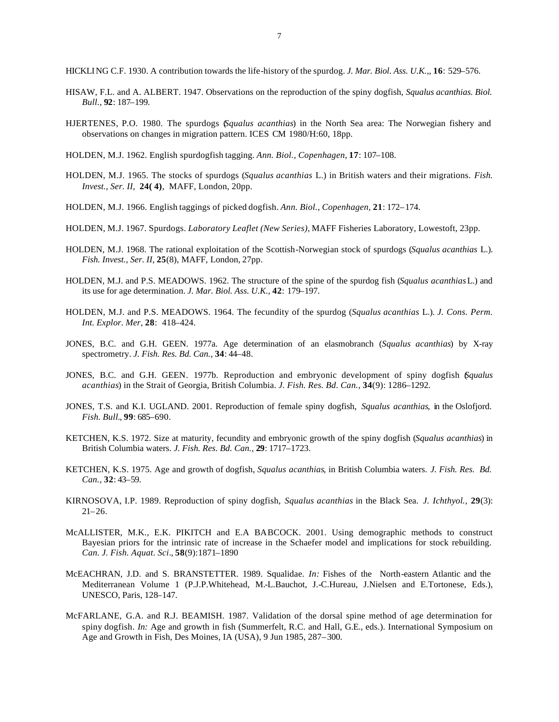HICKLING C.F. 1930. A contribution towards the life-history of the spurdog. *J. Mar. Biol. Ass. U.K.,,* **16**: 529–576.

- HISAW, F.L. and A. ALBERT. 1947. Observations on the reproduction of the spiny dogfish, *Squalus acanthias. Biol. Bull.,* **92**: 187–199.
- HJERTENES, P.O. 1980. The spurdogs (*Squalus acanthias*) in the North Sea area: The Norwegian fishery and observations on changes in migration pattern. ICES CM 1980/H:60, 18pp.
- HOLDEN, M.J. 1962. English spurdogfish tagging. *Ann. Biol., Copenhagen*, **17**: 107–108.
- HOLDEN, M.J. 1965. The stocks of spurdogs (*Squalus acanthias* L.) in British waters and their migrations. *Fish. Invest., Ser. II,* **24( 4)**, MAFF, London, 20pp.
- HOLDEN, M.J. 1966. English taggings of picked dogfish. *Ann. Biol., Copenhagen,* **21**: 172–174.
- HOLDEN, M.J. 1967. Spurdogs. *Laboratory Leaflet (New Series),* MAFF Fisheries Laboratory, Lowestoft, 23pp.
- HOLDEN, M.J. 1968. The rational exploitation of the Scottish-Norwegian stock of spurdogs (*Squalus acanthias* L.). *Fish. Invest., Ser. II,* **25**(8), MAFF, London, 27pp.
- HOLDEN, M.J. and P.S. MEADOWS. 1962. The structure of the spine of the spurdog fish (*Squalus acanthias* L.) and its use for age determination. *J. Mar. Biol. Ass. U.K.,* **42**: 179–197.
- HOLDEN, M.J. and P.S. MEADOWS. 1964. The fecundity of the spurdog (*Squalus acanthias* L.). *J. Cons. Perm. Int. Explor. Mer,* **28**: 418–424.
- JONES, B.C. and G.H. GEEN. 1977a. Age determination of an elasmobranch (*Squalus acanthias*) by X-ray spectrometry. *J. Fish. Res. Bd. Can.,* **34**: 44–48.
- JONES, B.C. and G.H. GEEN*.* 1977b. Reproduction and embryonic development of spiny dogfish (*Squalus acanthias*) in the Strait of Georgia, British Columbia. *J. Fish. Res. Bd. Can.,* **34**(9): 1286*–*1292.
- JONES, T.S. and K.I. UGLAND. 2001. Reproduction of female spiny dogfish, *Squalus acanthias*, in the Oslofjord. *Fish. Bull.*, **99**: 685–690.
- KETCHEN, K.S. 1972. Size at maturity, fecundity and embryonic growth of the spiny dogfish (*Squalus acanthias*) in British Columbia waters. *J. Fish. Res. Bd. Can.,* **29**: 1717–1723.
- KETCHEN, K.S. 1975. Age and growth of dogfish, *Squalus acanthias*, in British Columbia waters. *J. Fish. Res. Bd. Can.,* **32**: 43–59.
- KIRNOSOVA, I.P. 1989. Reproduction of spiny dogfish, *Squalus acanthias* in the Black Sea. *J. Ichthyol.,* **29**(3): 21*–*26.
- McALLISTER, M.K., E.K. PIKITCH and E.A BABCOCK. 2001. Using demographic methods to construct Bayesian priors for the intrinsic rate of increase in the Schaefer model and implications for stock rebuilding. *Can. J. Fish. Aquat. Sci*., **58**(9):1871–1890
- McEACHRAN, J.D. and S. BRANSTETTER. 1989. Squalidae. *In:* Fishes of the North-eastern Atlantic and the Mediterranean Volume 1 (P.J.P.Whitehead, M.-L.Bauchot, J.-C.Hureau, J.Nielsen and E.Tortonese, Eds.), UNESCO, Paris, 128–147.
- McFARLANE, G.A. and R.J. BEAMISH. 1987. Validation of the dorsal spine method of age determination for spiny dogfish. *In:* Age and growth in fish (Summerfelt, R.C. and Hall, G.E., eds.). International Symposium on Age and Growth in Fish, Des Moines, IA (USA), 9 Jun 1985, 287*–*300.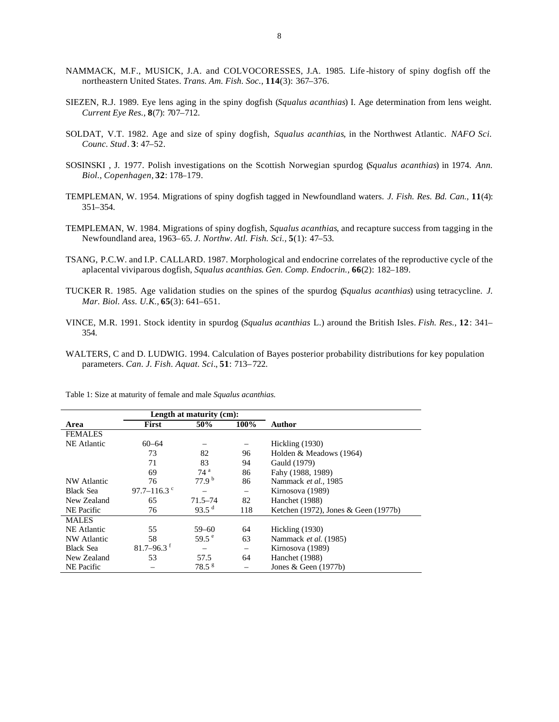- NAMMACK, M.F., MUSICK, J.A. and COLVOCORESSES, J.A. 1985. Life -history of spiny dogfish off the northeastern United States. *Trans. Am. Fish. Soc.,* **114**(3): 367*–*376.
- SIEZEN, R.J. 1989. Eye lens aging in the spiny dogfish (*Squalus acanthias*) I. Age determination from lens weight. *Current Eye Res.,* **8**(7): 707–712.
- SOLDAT, V.T. 1982. Age and size of spiny dogfish, *Squalus acanthias*, in the Northwest Atlantic. *NAFO Sci. Counc. Stud*. **3**: 47*–*52.
- SOSINSKI , J. 1977. Polish investigations on the Scottish Norwegian spurdog (*Squalus acanthias*) in 1974. *Ann. Biol., Copenhagen,* **32**: 178*–*179.
- TEMPLEMAN, W. 1954. Migrations of spiny dogfish tagged in Newfoundland waters. *J. Fish. Res. Bd. Can.,* **11**(4): 351–354.
- TEMPLEMAN, W. 1984. Migrations of spiny dogfish, *Squalus acanthias*, and recapture success from tagging in the Newfoundland area, 1963*–*65. *J. Northw. Atl. Fish. Sci.,* **5**(1): 47*–*53.
- TSANG, P.C.W. and I.P*.* CALLARD. 1987. Morphological and endocrine correlates of the reproductive cycle of the aplacental viviparous dogfish, *Squalus acanthias*. *Gen. Comp. Endocrin.,* **66**(2): 182*–*189.
- TUCKER R. 1985. Age validation studies on the spines of the spurdog (*Squalus acanthias*) using tetracycline. *J. Mar. Biol. Ass. U.K.,* **65**(3): 641*–*651.
- VINCE, M.R. 1991. Stock identity in spurdog (*Squalus acanthias* L.) around the British Isles. *Fish. Res.*, **12**: 341– 354.
- WALTERS, C and D. LUDWIG. 1994. Calculation of Bayes posterior probability distributions for key population parameters. *Can. J. Fish. Aquat. Sci*., **51**: 713–722.

Table 1: Size at maturity of female and male *Squalus acanthias.*

|                  |                            | Length at maturity (cm): |      |                                      |
|------------------|----------------------------|--------------------------|------|--------------------------------------|
| Area             | <b>First</b>               | 50%                      | 100% | <b>Author</b>                        |
| <b>FEMALES</b>   |                            |                          |      |                                      |
| NE Atlantic      | $60 - 64$                  |                          |      | Hickling (1930)                      |
|                  | 73                         | 82                       | 96   | Holden & Meadows (1964)              |
|                  | 71                         | 83                       | 94   | Gauld (1979)                         |
|                  | 69                         | 74 <sup>a</sup>          | 86   | Fahy (1988, 1989)                    |
| NW Atlantic      | 76                         | 77.9 <sup>b</sup>        | 86   | Nammack et al., 1985                 |
| Black Sea        | 97.7–116.3 $\degree$       |                          | —    | Kirnosova (1989)                     |
| New Zealand      | 65                         | 71.5–74                  | 82   | Hanchet (1988)                       |
| NE Pacific       | 76                         | 93.5 <sup>d</sup>        | 118  | Ketchen (1972), Jones & Geen (1977b) |
| <b>MALES</b>     |                            |                          |      |                                      |
| NE Atlantic      | 55                         | $59 - 60$                | 64   | Hickling $(1930)$                    |
| NW Atlantic      | 58                         | $59.5^{\circ}$           | 63   | Nammack et al. (1985)                |
| <b>Black Sea</b> | $81.7 - 96.3$ <sup>f</sup> |                          | —    | Kirnosova (1989)                     |
| New Zealand      | 53                         | 57.5                     | 64   | Hanchet (1988)                       |
| NE Pacific       |                            | 78.5 <sup>g</sup>        |      | Jones & Geen $(1977b)$               |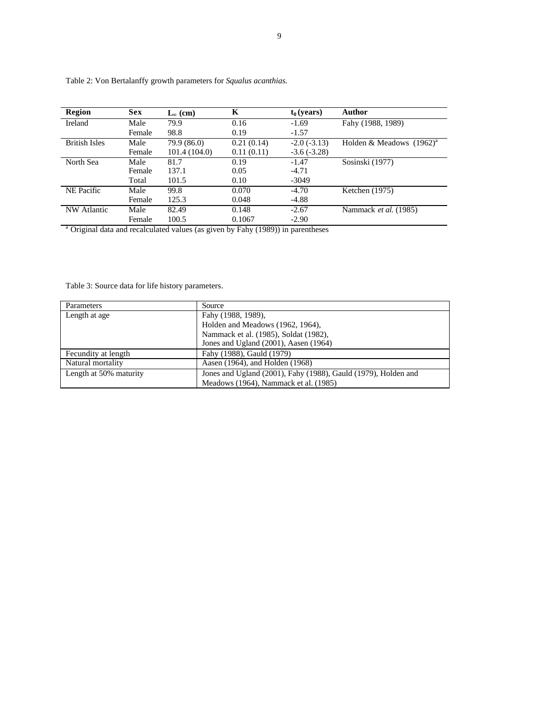| Region               | <b>Sex</b> | $L_{\mathbf{Y}}$ (cm) | K          | $t_0$ (years) | <b>Author</b>                 |
|----------------------|------------|-----------------------|------------|---------------|-------------------------------|
| Ireland              | Male       | 79.9                  | 0.16       | $-1.69$       | Fahy (1988, 1989)             |
|                      | Female     | 98.8                  | 0.19       | $-1.57$       |                               |
| <b>British Isles</b> | Male       | 79.9 (86.0)           | 0.21(0.14) | $-2.0(-3.13)$ | Holden & Meadows $(1962)^{a}$ |
|                      | Female     | 101.4 (104.0)         | 0.11(0.11) | $-3.6(-3.28)$ |                               |
| North Sea            | Male       | 81.7                  | 0.19       | $-1.47$       | Sosinski (1977)               |
|                      | Female     | 137.1                 | 0.05       | $-4.71$       |                               |
|                      | Total      | 101.5                 | 0.10       | $-3049$       |                               |
| NE Pacific           | Male       | 99.8                  | 0.070      | $-4.70$       | Ketchen (1975)                |
|                      | Female     | 125.3                 | 0.048      | $-4.88$       |                               |
| <b>NW</b> Atlantic   | Male       | 82.49                 | 0.148      | $-2.67$       | Nammack et al. (1985)         |
|                      | Female     | 100.5                 | 0.1067     | $-2.90$       |                               |
| .                    |            |                       |            |               |                               |

Table 2: Von Bertalanffy growth parameters for *Squalus acanthias.*

<sup>a</sup> Original data and recalculated values (as given by Fahy (1989)) in parentheses

Table 3: Source data for life history parameters.

| Parameters             | Source                                                         |
|------------------------|----------------------------------------------------------------|
| Length at age          | Fahy (1988, 1989),                                             |
|                        | Holden and Meadows (1962, 1964),                               |
|                        | Nammack et al. (1985), Soldat (1982),                          |
|                        | Jones and Ugland (2001), Aasen (1964)                          |
| Fecundity at length    | Fahy (1988), Gauld (1979)                                      |
| Natural mortality      | Aasen (1964), and Holden (1968)                                |
| Length at 50% maturity | Jones and Ugland (2001), Fahy (1988), Gauld (1979), Holden and |
|                        | Meadows (1964), Nammack et al. (1985)                          |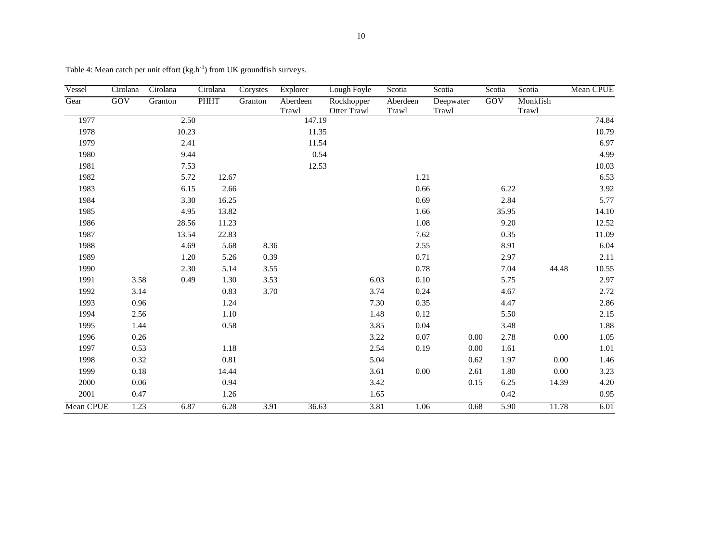| Vessel    | Cirolana | Cirolana | Cirolana    | Corystes | Explorer | Lough Foyle | Scotia           | Scotia    | Scotia       | Scotia   | Mean CPUE        |
|-----------|----------|----------|-------------|----------|----------|-------------|------------------|-----------|--------------|----------|------------------|
| Gear      | GOV      | Granton  | <b>PHHT</b> | Granton  | Aberdeen | Rockhopper  | Aberdeen         | Deepwater | GOV          | Monkfish |                  |
|           |          |          |             |          | Trawl    | Otter Trawl | Trawl            | Trawl     |              | Trawl    |                  |
| 1977      |          | 2.50     |             |          | 147.19   |             |                  |           |              |          | 74.84            |
| 1978      |          | 10.23    |             |          | 11.35    |             |                  |           |              |          | 10.79            |
| 1979      |          | 2.41     |             |          | 11.54    |             |                  |           |              |          | 6.97             |
| 1980      |          | 9.44     |             |          | 0.54     |             |                  |           |              |          | 4.99             |
| 1981      |          | 7.53     |             |          | 12.53    |             |                  |           |              |          | 10.03            |
| 1982      |          | 5.72     | 12.67       |          |          |             | 1.21             |           |              |          | 6.53             |
| 1983      |          | 6.15     | 2.66        |          |          |             | 0.66             |           | 6.22         |          | 3.92             |
| 1984      |          | 3.30     | 16.25       |          |          |             | 0.69             |           | 2.84         |          | 5.77             |
| 1985      |          | 4.95     | 13.82       |          |          |             | 1.66             |           | 35.95        |          | 14.10            |
| 1986      |          | 28.56    | 11.23       |          |          |             | 1.08             |           | 9.20         |          | 12.52            |
| 1987      |          | 13.54    | 22.83       |          |          |             | 7.62             |           | 0.35         |          | 11.09            |
| 1988      |          | 4.69     | 5.68        | 8.36     |          |             | 2.55             |           | 8.91         |          | 6.04             |
| 1989      |          | 1.20     | 5.26        | 0.39     |          |             | 0.71             |           | 2.97         |          | 2.11             |
| 1990      |          | 2.30     | 5.14        | 3.55     |          |             | 0.78             |           | 7.04         | 44.48    | 10.55            |
| 1991      | 3.58     | 0.49     | 1.30        | 3.53     |          |             | 6.03<br>0.10     |           | 5.75         |          | 2.97             |
| 1992      | 3.14     |          | 0.83        | 3.70     |          |             | 3.74<br>0.24     |           | 4.67         |          | 2.72             |
| 1993      | 0.96     |          | 1.24        |          |          |             | 7.30<br>0.35     |           | 4.47         |          | 2.86             |
| 1994      | 2.56     |          | 1.10        |          |          |             | 1.48<br>0.12     |           | 5.50         |          | 2.15             |
| 1995      | 1.44     |          | 0.58        |          |          |             | 3.85<br>0.04     |           | 3.48         |          | 1.88             |
| 1996      | 0.26     |          |             |          |          |             | 3.22<br>0.07     |           | 2.78<br>0.00 |          | $0.00\,$<br>1.05 |
| 1997      | 0.53     |          | 1.18        |          |          |             | 2.54<br>0.19     |           | 0.00<br>1.61 |          | 1.01             |
| 1998      | 0.32     |          | 0.81        |          |          |             | 5.04             |           | 1.97<br>0.62 |          | 0.00<br>1.46     |
| 1999      | 0.18     |          | 14.44       |          |          |             | 3.61<br>$0.00\,$ |           | 1.80<br>2.61 |          | 0.00<br>3.23     |
| 2000      | 0.06     |          | 0.94        |          |          |             | 3.42             |           | 0.15<br>6.25 | 14.39    | $4.20\,$         |
| 2001      | 0.47     |          | 1.26        |          |          |             | 1.65             |           | 0.42         |          | $0.95\,$         |
| Mean CPUE | 1.23     | 6.87     | 6.28        | 3.91     | 36.63    |             | 3.81<br>1.06     |           | 5.90<br>0.68 | 11.78    | 6.01             |

Table 4: Mean catch per unit effort  $(kg.h^{-1})$  from UK groundfish surveys.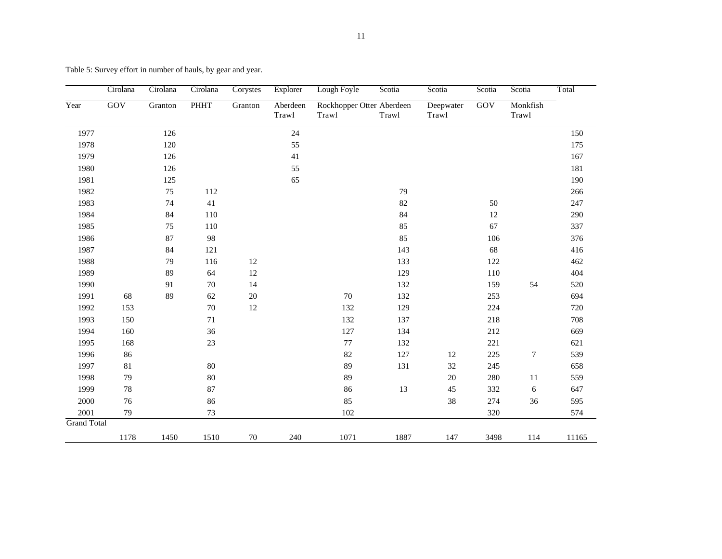|                    | Cirolana | Cirolana | Cirolana | Corystes | Explorer          | Lough Foyle                        | Scotia | Scotia             | Scotia | Scotia            | Total |
|--------------------|----------|----------|----------|----------|-------------------|------------------------------------|--------|--------------------|--------|-------------------|-------|
| Year               | GOV      | Granton  | PHHT     | Granton  | Aberdeen<br>Trawl | Rockhopper Otter Aberdeen<br>Trawl | Trawl  | Deepwater<br>Trawl | GOV    | Monkfish<br>Trawl |       |
| 1977               |          | 126      |          |          | 24                |                                    |        |                    |        |                   | 150   |
| 1978               |          | 120      |          |          | 55                |                                    |        |                    |        |                   | 175   |
| 1979               |          | 126      |          |          | 41                |                                    |        |                    |        |                   | 167   |
| 1980               |          | 126      |          |          | 55                |                                    |        |                    |        |                   | 181   |
| 1981               |          | 125      |          |          | 65                |                                    |        |                    |        |                   | 190   |
| 1982               |          | $75\,$   | 112      |          |                   |                                    | 79     |                    |        |                   | 266   |
| 1983               |          | 74       | 41       |          |                   |                                    | 82     |                    | $50\,$ |                   | 247   |
| 1984               |          | $84\,$   | 110      |          |                   |                                    | 84     |                    | 12     |                   | 290   |
| 1985               |          | 75       | 110      |          |                   |                                    | 85     |                    | 67     |                   | 337   |
| 1986               |          | 87       | 98       |          |                   |                                    | 85     |                    | 106    |                   | 376   |
| 1987               |          | 84       | 121      |          |                   |                                    | 143    |                    | 68     |                   | 416   |
| 1988               |          | 79       | 116      | 12       |                   |                                    | 133    |                    | 122    |                   | 462   |
| 1989               |          | 89       | 64       | 12       |                   |                                    | 129    |                    | 110    |                   | 404   |
| 1990               |          | 91       | $70\,$   | 14       |                   |                                    | 132    |                    | 159    | 54                | 520   |
| 1991               | 68       | 89       | 62       | $20\,$   |                   | 70                                 | 132    |                    | 253    |                   | 694   |
| 1992               | 153      |          | $70\,$   | 12       |                   | 132                                | 129    |                    | 224    |                   | 720   |
| 1993               | 150      |          | $71\,$   |          |                   | 132                                | 137    |                    | 218    |                   | 708   |
| 1994               | 160      |          | 36       |          |                   | 127                                | 134    |                    | 212    |                   | 669   |
| 1995               | 168      |          | 23       |          |                   | 77                                 | 132    |                    | 221    |                   | 621   |
| 1996               | 86       |          |          |          |                   | 82                                 | 127    | 12                 | 225    | $\boldsymbol{7}$  | 539   |
| 1997               | 81       |          | $80\,$   |          |                   | 89                                 | 131    | 32                 | 245    |                   | 658   |
| 1998               | 79       |          | $80\,$   |          |                   | 89                                 |        | $20\,$             | 280    | $11\,$            | 559   |
| 1999               | $78\,$   |          | $87\,$   |          |                   | 86                                 | 13     | 45                 | 332    | $\sqrt{6}$        | 647   |
| 2000               | 76       |          | 86       |          |                   | 85                                 |        | $38\,$             | 274    | 36                | 595   |
| 2001               | 79       |          | 73       |          |                   | 102                                |        |                    | 320    |                   | 574   |
| <b>Grand Total</b> |          |          |          |          |                   |                                    |        |                    |        |                   |       |
|                    | 1178     | 1450     | 1510     | $70\,$   | 240               | 1071                               | 1887   | 147                | 3498   | 114               | 11165 |

Table 5: Survey effort in number of hauls, by gear and year.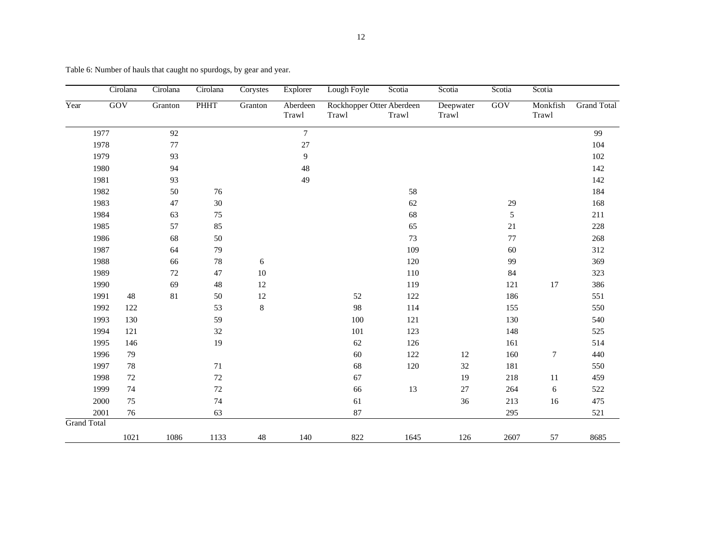|                    |      | Cirolana | Cirolana | Cirolana | Corystes   | Explorer          | Lough Foyle                        | Scotia | Scotia             | Scotia     | Scotia            |                    |
|--------------------|------|----------|----------|----------|------------|-------------------|------------------------------------|--------|--------------------|------------|-------------------|--------------------|
| Year               | GOV  |          | Granton  | PHHT     | Granton    | Aberdeen<br>Trawl | Rockhopper Otter Aberdeen<br>Trawl | Trawl  | Deepwater<br>Trawl | GOV        | Monkfish<br>Trawl | <b>Grand Total</b> |
|                    | 1977 |          | 92       |          |            | $\tau$            |                                    |        |                    |            |                   | 99                 |
|                    | 1978 |          | $77\,$   |          |            | $27\,$            |                                    |        |                    |            |                   | 104                |
|                    | 1979 |          | 93       |          |            | 9                 |                                    |        |                    |            |                   | $102\,$            |
|                    | 1980 |          | 94       |          |            | $\sqrt{48}$       |                                    |        |                    |            |                   | 142                |
|                    | 1981 |          | 93       |          |            | 49                |                                    |        |                    |            |                   | 142                |
|                    | 1982 |          | 50       | 76       |            |                   |                                    | 58     |                    |            |                   | 184                |
|                    | 1983 |          | 47       | $30\,$   |            |                   |                                    | 62     |                    | 29         |                   | 168                |
|                    | 1984 |          | 63       | $75\,$   |            |                   |                                    | 68     |                    | $\sqrt{5}$ |                   | 211                |
|                    | 1985 |          | 57       | 85       |            |                   |                                    | 65     |                    | 21         |                   | 228                |
|                    | 1986 |          | 68       | $50\,$   |            |                   |                                    | 73     |                    | 77         |                   | 268                |
|                    | 1987 |          | 64       | 79       |            |                   |                                    | 109    |                    | 60         |                   | 312                |
|                    | 1988 |          | 66       | $78\,$   | $\sqrt{6}$ |                   |                                    | 120    |                    | 99         |                   | 369                |
|                    | 1989 |          | 72       | 47       | $10\,$     |                   |                                    | 110    |                    | 84         |                   | 323                |
|                    | 1990 |          | 69       | $48\,$   | 12         |                   |                                    | 119    |                    | 121        | 17                | 386                |
|                    | 1991 | 48       | $81\,$   | $50\,$   | 12         |                   | $52\,$                             | 122    |                    | 186        |                   | 551                |
|                    | 1992 | 122      |          | 53       | $\,8\,$    |                   | 98                                 | 114    |                    | 155        |                   | 550                |
|                    | 1993 | 130      |          | 59       |            |                   | 100                                | 121    |                    | 130        |                   | 540                |
|                    | 1994 | 121      |          | $32\,$   |            |                   | 101                                | 123    |                    | 148        |                   | 525                |
|                    | 1995 | 146      |          | 19       |            |                   | 62                                 | 126    |                    | 161        |                   | 514                |
|                    | 1996 | 79       |          |          |            |                   | 60                                 | 122    | $12\,$             | 160        | 7                 | 440                |
|                    | 1997 | 78       |          | $71\,$   |            |                   | 68                                 | 120    | $32\,$             | 181        |                   | 550                |
|                    | 1998 | 72       |          | $72\,$   |            |                   | 67                                 |        | 19                 | 218        | 11                | 459                |
|                    | 1999 | $74\,$   |          | $72\,$   |            |                   | 66                                 | 13     | 27                 | 264        | $\sqrt{6}$        | 522                |
|                    | 2000 | 75       |          | $74\,$   |            |                   | 61                                 |        | 36                 | 213        | 16                | 475                |
|                    | 2001 | 76       |          | 63       |            |                   | 87                                 |        |                    | 295        |                   | 521                |
| <b>Grand Total</b> |      |          |          |          |            |                   |                                    |        |                    |            |                   |                    |
|                    |      | 1021     | 1086     | 1133     | 48         | 140               | 822                                | 1645   | 126                | 2607       | 57                | 8685               |

Table 6: Number of hauls that caught no spurdogs, by gear and year.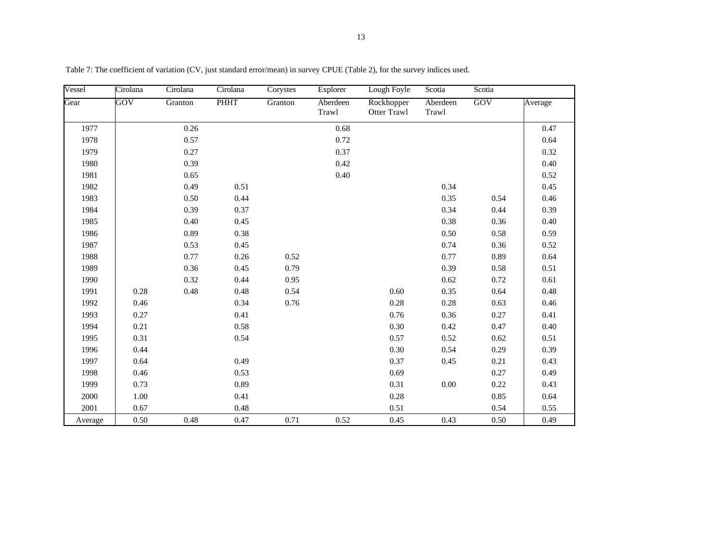| Vessel  | Cirolana                | Cirolana | Cirolana | Corystes | Explorer          | Lough Foyle               | Scotia            | Scotia |         |
|---------|-------------------------|----------|----------|----------|-------------------|---------------------------|-------------------|--------|---------|
| Gear    | $\overline{\text{GOV}}$ | Granton  | PHHT     | Granton  | Aberdeen<br>Trawl | Rockhopper<br>Otter Trawl | Aberdeen<br>Trawl | GOV    | Average |
| 1977    |                         | 0.26     |          |          | 0.68              |                           |                   |        | 0.47    |
| 1978    |                         | 0.57     |          |          | 0.72              |                           |                   |        | 0.64    |
| 1979    |                         | 0.27     |          |          | 0.37              |                           |                   |        | 0.32    |
| 1980    |                         | 0.39     |          |          | 0.42              |                           |                   |        | 0.40    |
| 1981    |                         | 0.65     |          |          | 0.40              |                           |                   |        | 0.52    |
| 1982    |                         | 0.49     | 0.51     |          |                   |                           | 0.34              |        | 0.45    |
| 1983    |                         | 0.50     | 0.44     |          |                   |                           | 0.35              | 0.54   | 0.46    |
| 1984    |                         | 0.39     | 0.37     |          |                   |                           | 0.34              | 0.44   | 0.39    |
| 1985    |                         | 0.40     | 0.45     |          |                   |                           | 0.38              | 0.36   | 0.40    |
| 1986    |                         | 0.89     | 0.38     |          |                   |                           | 0.50              | 0.58   | 0.59    |
| 1987    |                         | 0.53     | 0.45     |          |                   |                           | 0.74              | 0.36   | 0.52    |
| 1988    |                         | 0.77     | $0.26\,$ | 0.52     |                   |                           | 0.77              | 0.89   | 0.64    |
| 1989    |                         | 0.36     | 0.45     | 0.79     |                   |                           | 0.39              | 0.58   | 0.51    |
| 1990    |                         | 0.32     | 0.44     | 0.95     |                   |                           | 0.62              | 0.72   | 0.61    |
| 1991    | 0.28                    | 0.48     | 0.48     | 0.54     |                   | 0.60                      | 0.35              | 0.64   | 0.48    |
| 1992    | 0.46                    |          | 0.34     | 0.76     |                   | 0.28                      | 0.28              | 0.63   | 0.46    |
| 1993    | 0.27                    |          | 0.41     |          |                   | 0.76                      | 0.36              | 0.27   | 0.41    |
| 1994    | 0.21                    |          | 0.58     |          |                   | 0.30                      | 0.42              | 0.47   | 0.40    |
| 1995    | 0.31                    |          | 0.54     |          |                   | 0.57                      | 0.52              | 0.62   | 0.51    |
| 1996    | 0.44                    |          |          |          |                   | 0.30                      | 0.54              | 0.29   | 0.39    |
| 1997    | 0.64                    |          | 0.49     |          |                   | 0.37                      | 0.45              | 0.21   | 0.43    |
| 1998    | 0.46                    |          | 0.53     |          |                   | 0.69                      |                   | 0.27   | 0.49    |
| 1999    | 0.73                    |          | 0.89     |          |                   | 0.31                      | $0.00\,$          | 0.22   | 0.43    |
| 2000    | 1.00                    |          | 0.41     |          |                   | 0.28                      |                   | 0.85   | 0.64    |
| 2001    | 0.67                    |          | 0.48     |          |                   | 0.51                      |                   | 0.54   | 0.55    |
| Average | 0.50                    | 0.48     | 0.47     | 0.71     | 0.52              | 0.45                      | 0.43              | 0.50   | 0.49    |

Table 7: The coefficient of variation (CV, just standard error/mean) in survey CPUE (Table 2), for the survey indices used.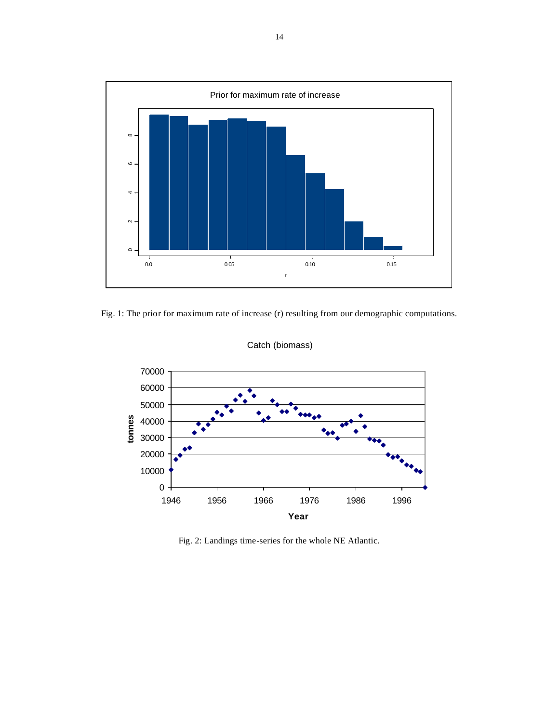

Fig. 1: The prior for maximum rate of increase (r) resulting from our demographic computations.



Catch (biomass)

Fig. 2: Landings time-series for the whole NE Atlantic.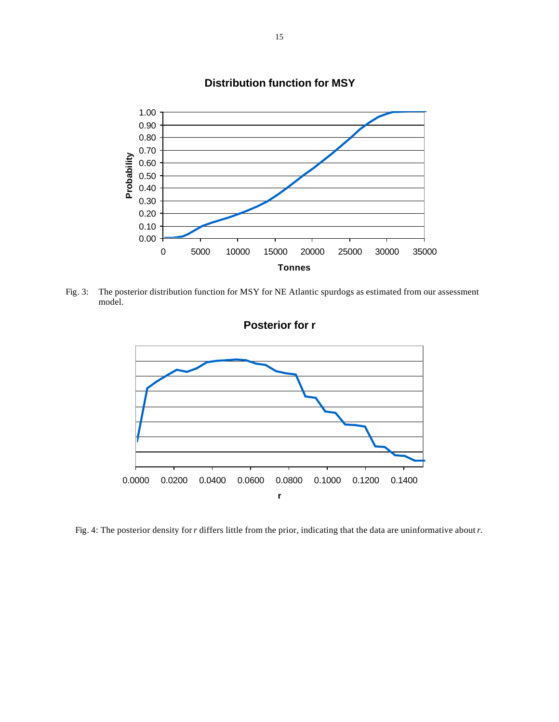

# **Distribution function for MSY**

Fig. 3: The posterior distribution function for MSY for NE Atlantic spurdogs as estimated from our assessment model.



Fig. 4: The posterior density for *r* differs little from the prior, indicating that the data are uninformative about *r*.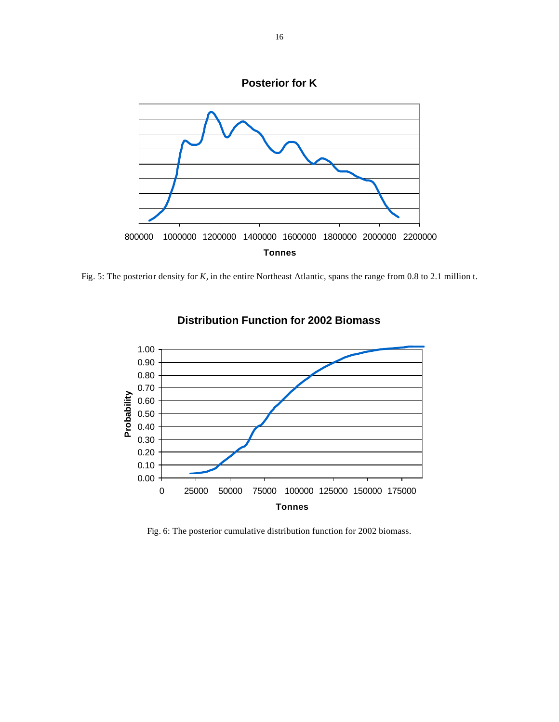

Fig. 5: The posterior density for *K,* in the entire Northeast Atlantic, spans the range from 0.8 to 2.1 million t.



## **Distribution Function for 2002 Biomass**

Fig. 6: The posterior cumulative distribution function for 2002 biomass.